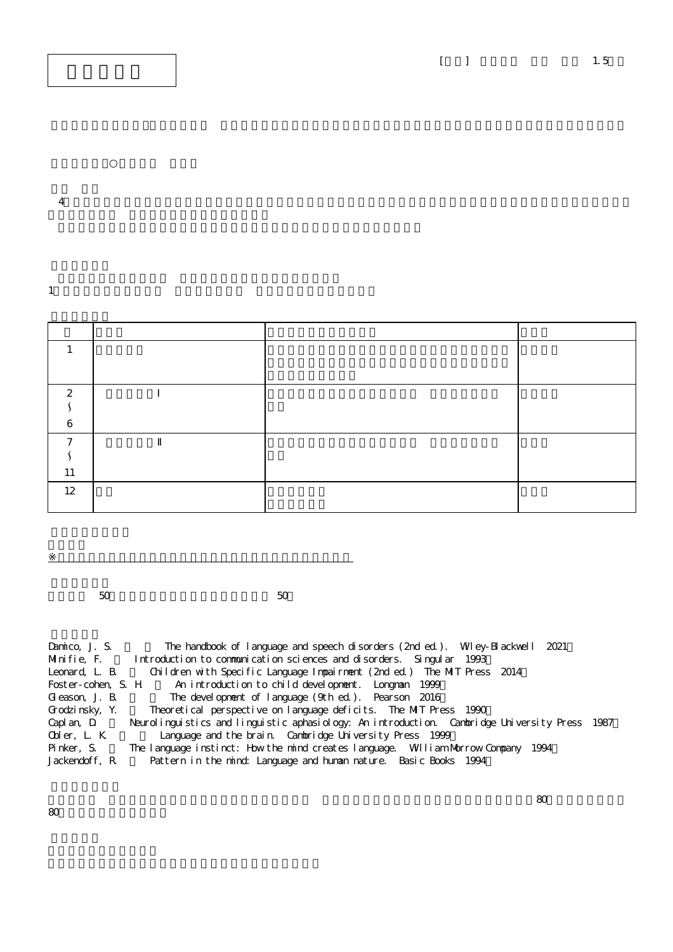$4$ 

1.  $\blacksquare$ 

| $\Omega$ |  |  |
|----------|--|--|
|          |  |  |
| n        |  |  |
|          |  |  |
|          |  |  |
| 11       |  |  |
| 12       |  |  |
|          |  |  |

 $50$  50  $-$ 

※授業実施形態は、各学部(研究科)、学校の授業実施方針による

| Damico, J. S.  | The handbook of language and speech disorders (2nd ed.). Wiley-Blackwell 2021                 |
|----------------|-----------------------------------------------------------------------------------------------|
| Minifie, F.    | Introduction to communication sciences and disorders. Singular 1993                           |
| Leonard, L. B. | Children with Specific Language Impairment (2nd ed.) The MIT Press 2014                       |
|                | Foster-cohen, S. H An introduction to child development. Longman 1999                         |
| Gleason, J. B. | The devel opment of language (9th ed.). Pearson 2016                                          |
| Grodzinsky, Y. | Theoretical perspective on language deficits. The MIT Press 1990                              |
| Capl an, D.    | Neurolinguistics and linguistic aphasiology: An introduction. Cambridge University Press 1987 |
| Obler, L. K.   | Language and the brain. Cambridge University Press 1999                                       |
| Pinker, S.     | The language instinct: How the mind creates language. William Morrow Company 1994             |
| Jackendoff, R  | Pattern in the mind: Language and human nature. Basic Books 1994                              |

80分以上)が必要になる。